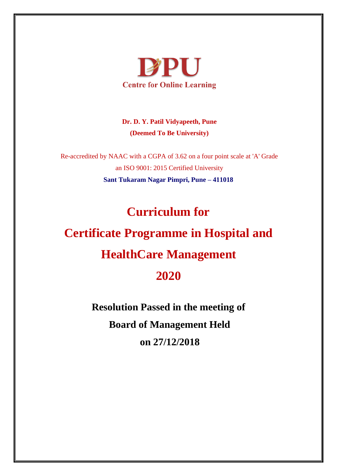

**Dr. D. Y. Patil Vidyapeeth, Pune (Deemed To Be University)** 

Re-accredited by NAAC with a CGPA of 3.62 on a four point scale at 'A' Grade an ISO 9001: 2015 Certified University **Sant Tukaram Nagar Pimpri, Pune – 411018** 

# **Curriculum for**

# **Certificate Programme in Hospital and HealthCare Management 2020**

**Resolution Passed in the meeting of Board of Management Held on 27/12/2018**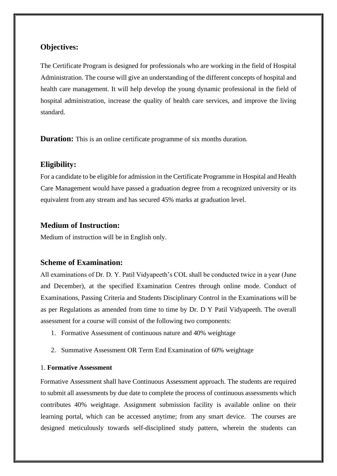#### **Objectives:**

The Certificate Program is designed for professionals who are working in the field of Hospital Administration. The course will give an understanding of the different concepts of hospital and health care management. It will help develop the young dynamic professional in the field of hospital administration, increase the quality of health care services, and improve the living standard.

**Duration:** This is an online certificate programme of six months duration.

#### **Eligibility:**

For a candidate to be eligible for admission in the Certificate Programme in Hospital and Health Care Management would have passed a graduation degree from a recognized university or its equivalent from any stream and has secured 45% marks at graduation level.

#### **Medium of Instruction:**

Medium of instruction will be in English only.

#### **Scheme of Examination:**

All examinations of Dr. D. Y. Patil Vidyapeeth's COL shall be conducted twice in a year (June and December), at the specified Examination Centres through online mode. Conduct of Examinations, Passing Criteria and Students Disciplinary Control in the Examinations will be as per Regulations as amended from time to time by Dr. D Y Patil Vidyapeeth. The overall assessment for a course will consist of the following two components:

- 1. Formative Assessment of continuous nature and 40% weightage
- 2. Summative Assessment OR Term End Examination of 60% weightage

#### 1. **Formative Assessment**

Formative Assessment shall have Continuous Assessment approach. The students are required to submit all assessments by due date to complete the process of continuous assessments which contributes 40% weightage. Assignment submission facility is available online on their learning portal, which can be accessed anytime; from any smart device. The courses are designed meticulously towards self-disciplined study pattern, wherein the students can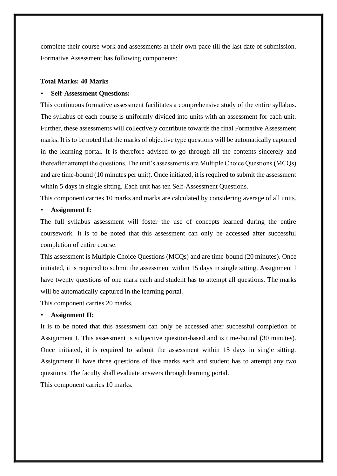complete their course-work and assessments at their own pace till the last date of submission. Formative Assessment has following components:

#### **Total Marks: 40 Marks**

#### • **Self-Assessment Questions:**

This continuous formative assessment facilitates a comprehensive study of the entire syllabus. The syllabus of each course is uniformly divided into units with an assessment for each unit. Further, these assessments will collectively contribute towards the final Formative Assessment marks. It is to be noted that the marks of objective type questions will be automatically captured in the learning portal. It is therefore advised to go through all the contents sincerely and thereafter attempt the questions. The unit's assessments are Multiple Choice Questions (MCQs) and are time-bound (10 minutes per unit). Once initiated, it is required to submit the assessment within 5 days in single sitting. Each unit has ten Self-Assessment Questions.

This component carries 10 marks and marks are calculated by considering average of all units.

#### • **Assignment I:**

The full syllabus assessment will foster the use of concepts learned during the entire coursework. It is to be noted that this assessment can only be accessed after successful completion of entire course.

This assessment is Multiple Choice Questions (MCQs) and are time-bound (20 minutes). Once initiated, it is required to submit the assessment within 15 days in single sitting. Assignment I have twenty questions of one mark each and student has to attempt all questions. The marks will be automatically captured in the learning portal.

This component carries 20 marks.

#### • **Assignment II:**

It is to be noted that this assessment can only be accessed after successful completion of Assignment I. This assessment is subjective question-based and is time-bound (30 minutes). Once initiated, it is required to submit the assessment within 15 days in single sitting. Assignment II have three questions of five marks each and student has to attempt any two questions. The faculty shall evaluate answers through learning portal.

This component carries 10 marks.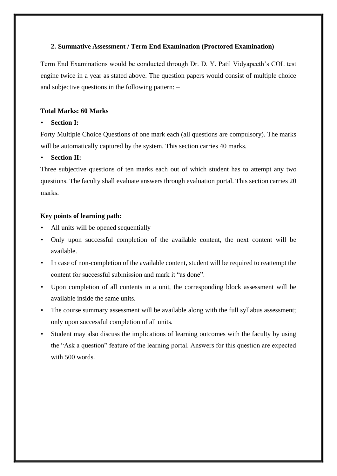#### **2. Summative Assessment / Term End Examination (Proctored Examination)**

Term End Examinations would be conducted through Dr. D. Y. Patil Vidyapeeth's COL test engine twice in a year as stated above. The question papers would consist of multiple choice and subjective questions in the following pattern: –

#### **Total Marks: 60 Marks**

#### • **Section I:**

Forty Multiple Choice Questions of one mark each (all questions are compulsory). The marks will be automatically captured by the system. This section carries 40 marks.

#### • **Section II:**

Three subjective questions of ten marks each out of which student has to attempt any two questions. The faculty shall evaluate answers through evaluation portal. This section carries 20 marks.

#### **Key points of learning path:**

- All units will be opened sequentially
- Only upon successful completion of the available content, the next content will be available.
- In case of non-completion of the available content, student will be required to reattempt the content for successful submission and mark it "as done".
- Upon completion of all contents in a unit, the corresponding block assessment will be available inside the same units.
- The course summary assessment will be available along with the full syllabus assessment; only upon successful completion of all units.
- Student may also discuss the implications of learning outcomes with the faculty by using the "Ask a question" feature of the learning portal. Answers for this question are expected with 500 words.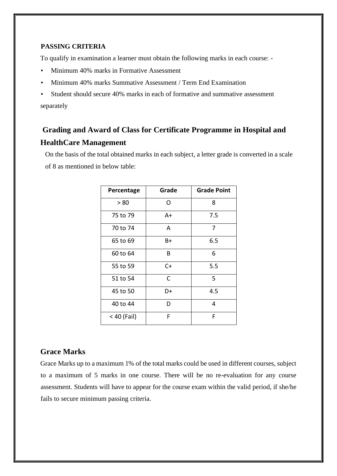#### **PASSING CRITERIA**

To qualify in examination a learner must obtain the following marks in each course: -

- Minimum 40% marks in Formative Assessment
- Minimum 40% marks Summative Assessment / Term End Examination

• Student should secure 40% marks in each of formative and summative assessment separately

# **Grading and Award of Class for Certificate Programme in Hospital and HealthCare Management**

On the basis of the total obtained marks in each subject, a letter grade is converted in a scale of 8 as mentioned in below table:

| Percentage  | Grade | <b>Grade Point</b> |
|-------------|-------|--------------------|
| > 80        | ∩     | 8                  |
| 75 to 79    | A+    | 7.5                |
| 70 to 74    | Α     | 7                  |
| 65 to 69    | B+    | 6.5                |
| 60 to 64    | В     | 6                  |
| 55 to 59    | $C+$  | 5.5                |
| 51 to 54    | C     | 5                  |
| 45 to 50    | D+    | 4.5                |
| 40 to 44    | D     | 4                  |
| < 40 (Fail) | F     | F                  |

#### **Grace Marks**

Grace Marks up to a maximum 1% of the total marks could be used in different courses, subject to a maximum of 5 marks in one course. There will be no re-evaluation for any course assessment. Students will have to appear for the course exam within the valid period, if she/he fails to secure minimum passing criteria.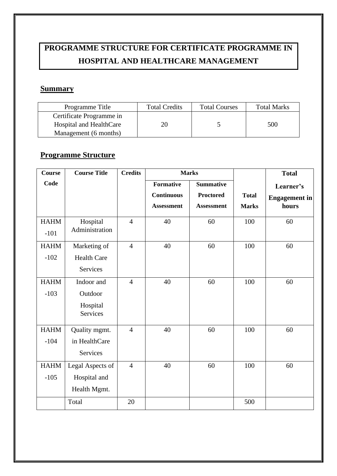# **PROGRAMME STRUCTURE FOR CERTIFICATE PROGRAMME IN HOSPITAL AND HEALTHCARE MANAGEMENT**

#### **Summary**

| Programme Title          | <b>Total Credits</b> | <b>Total Courses</b> | <b>Total Marks</b> |
|--------------------------|----------------------|----------------------|--------------------|
| Certificate Programme in |                      |                      |                    |
| Hospital and HealthCare  | 20                   |                      | 500                |
| Management (6 months)    |                      |                      |                    |

# **Programme Structure**

| <b>Course</b> | <b>Course Title</b> | <b>Credits</b> | <b>Marks</b>      |                   |              | <b>Total</b>         |
|---------------|---------------------|----------------|-------------------|-------------------|--------------|----------------------|
| Code          |                     |                | <b>Formative</b>  | <b>Summative</b>  |              | Learner's            |
|               |                     |                | <b>Continuous</b> | <b>Proctored</b>  | <b>Total</b> | <b>Engagement</b> in |
|               |                     |                | <b>Assessment</b> | <b>Assessment</b> | <b>Marks</b> | hours                |
| <b>HAHM</b>   | Hospital            | $\overline{4}$ | 40                | 60                | 100          | 60                   |
| $-101$        | Administration      |                |                   |                   |              |                      |
| <b>HAHM</b>   | Marketing of        | $\overline{4}$ | 40                | 60                | 100          | 60                   |
| $-102$        | <b>Health Care</b>  |                |                   |                   |              |                      |
|               | Services            |                |                   |                   |              |                      |
| <b>HAHM</b>   | Indoor and          | $\overline{4}$ | 40                | 60                | 100          | 60                   |
| $-103$        | Outdoor             |                |                   |                   |              |                      |
|               | Hospital            |                |                   |                   |              |                      |
|               | <b>Services</b>     |                |                   |                   |              |                      |
| <b>HAHM</b>   | Quality mgmt.       | $\overline{4}$ | 40                | 60                | 100          | 60                   |
| $-104$        | in HealthCare       |                |                   |                   |              |                      |
|               | Services            |                |                   |                   |              |                      |
| <b>HAHM</b>   | Legal Aspects of    | $\overline{4}$ | 40                | 60                | 100          | 60                   |
| $-105$        | Hospital and        |                |                   |                   |              |                      |
|               | Health Mgmt.        |                |                   |                   |              |                      |
|               | Total               | 20             |                   |                   | 500          |                      |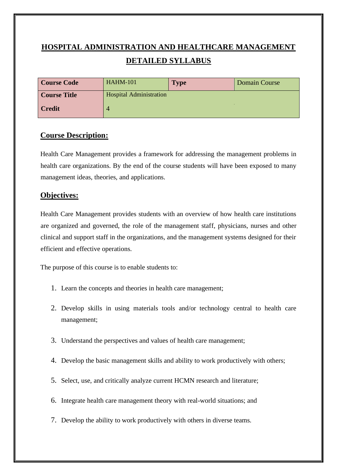# **HOSPITAL ADMINISTRATION AND HEALTHCARE MANAGEMENT DETAILED SYLLABUS**

| <b>Course Code</b>  | <b>HAHM-101</b>                | <b>Type</b> | Domain Course |
|---------------------|--------------------------------|-------------|---------------|
| <b>Course Title</b> | <b>Hospital Administration</b> |             |               |
| <b>Credit</b>       |                                |             |               |

#### **Course Description:**

Health Care Management provides a framework for addressing the management problems in health care organizations. By the end of the course students will have been exposed to many management ideas, theories, and applications.

#### **Objectives:**

Health Care Management provides students with an overview of how health care institutions are organized and governed, the role of the management staff, physicians, nurses and other clinical and support staff in the organizations, and the management systems designed for their efficient and effective operations.

The purpose of this course is to enable students to:

- 1. Learn the concepts and theories in health care management;
- 2. Develop skills in using materials tools and/or technology central to health care management;
- 3. Understand the perspectives and values of health care management;
- 4. Develop the basic management skills and ability to work productively with others;
- 5. Select, use, and critically analyze current HCMN research and literature;
- 6. Integrate health care management theory with real-world situations; and
- 7. Develop the ability to work productively with others in diverse teams.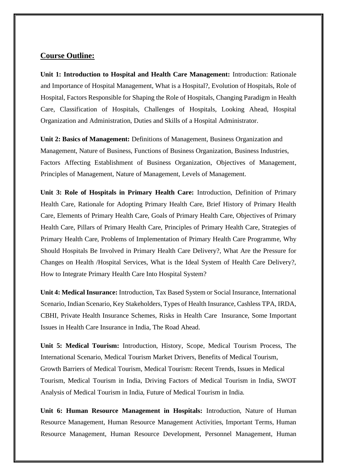#### **Course Outline:**

**Unit 1: Introduction to Hospital and Health Care Management:** Introduction: Rationale and Importance of Hospital Management, What is a Hospital?, Evolution of Hospitals, Role of Hospital, Factors Responsible for Shaping the Role of Hospitals, Changing Paradigm in Health Care, Classification of Hospitals, Challenges of Hospitals, Looking Ahead, Hospital Organization and Administration, Duties and Skills of a Hospital Administrator.

**Unit 2: Basics of Management:** Definitions of Management, Business Organization and Management, Nature of Business, Functions of Business Organization, Business Industries, Factors Affecting Establishment of Business Organization, Objectives of Management, Principles of Management, Nature of Management, Levels of Management.

**Unit 3: Role of Hospitals in Primary Health Care:** Introduction, Definition of Primary Health Care, Rationale for Adopting Primary Health Care, Brief History of Primary Health Care, Elements of Primary Health Care, Goals of Primary Health Care, Objectives of Primary Health Care, Pillars of Primary Health Care, Principles of Primary Health Care, Strategies of Primary Health Care, Problems of Implementation of Primary Health Care Programme, Why Should Hospitals Be Involved in Primary Health Care Delivery?, What Are the Pressure for Changes on Health /Hospital Services, What is the Ideal System of Health Care Delivery?, How to Integrate Primary Health Care Into Hospital System?

**Unit 4: Medical Insurance:** Introduction, Tax Based System or Social Insurance, International Scenario, Indian Scenario, Key Stakeholders, Types of Health Insurance, Cashless TPA, IRDA, CBHI, Private Health Insurance Schemes, Risks in Health Care Insurance, Some Important Issues in Health Care Insurance in India, The Road Ahead.

**Unit 5: Medical Tourism:** Introduction, History, Scope, Medical Tourism Process, The International Scenario, Medical Tourism Market Drivers, Benefits of Medical Tourism, Growth Barriers of Medical Tourism, Medical Tourism: Recent Trends, Issues in Medical Tourism, Medical Tourism in India, Driving Factors of Medical Tourism in India, SWOT Analysis of Medical Tourism in India, Future of Medical Tourism in India.

**Unit 6: Human Resource Management in Hospitals:** Introduction, Nature of Human Resource Management, Human Resource Management Activities, Important Terms, Human Resource Management, Human Resource Development, Personnel Management, Human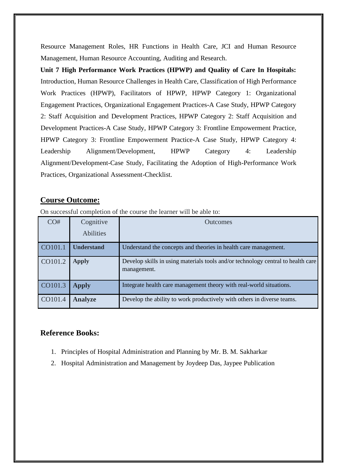Resource Management Roles, HR Functions in Health Care, JCI and Human Resource Management, Human Resource Accounting, Auditing and Research.

**Unit 7 High Performance Work Practices (HPWP) and Quality of Care In Hospitals:**  Introduction, Human Resource Challenges in Health Care, Classification of High Performance Work Practices (HPWP), Facilitators of HPWP, HPWP Category 1: Organizational Engagement Practices, Organizational Engagement Practices-A Case Study, HPWP Category 2: Staff Acquisition and Development Practices, HPWP Category 2: Staff Acquisition and Development Practices-A Case Study, HPWP Category 3: Frontline Empowerment Practice, HPWP Category 3: Frontline Empowerment Practice-A Case Study, HPWP Category 4: Leadership Alignment/Development, HPWP Category 4: Leadership Alignment/Development-Case Study, Facilitating the Adoption of High-Performance Work Practices, Organizational Assessment-Checklist.

#### **Course Outcome:**

| CO#     | Cognitive         | <b>Outcomes</b>                                                                                 |
|---------|-------------------|-------------------------------------------------------------------------------------------------|
|         | <b>Abilities</b>  |                                                                                                 |
| CO101.1 | <b>Understand</b> | Understand the concepts and theories in health care management.                                 |
| CO101.2 | <b>Apply</b>      | Develop skills in using materials tools and/or technology central to health care<br>management. |
| CO101.3 | <b>Apply</b>      | Integrate health care management theory with real-world situations.                             |
| CO101.4 | <b>Analyze</b>    | Develop the ability to work productively with others in diverse teams.                          |

On successful completion of the course the learner will be able to:

- 1. Principles of Hospital Administration and Planning by Mr. B. M. Sakharkar
- 2. Hospital Administration and Management by Joydeep Das, Jaypee Publication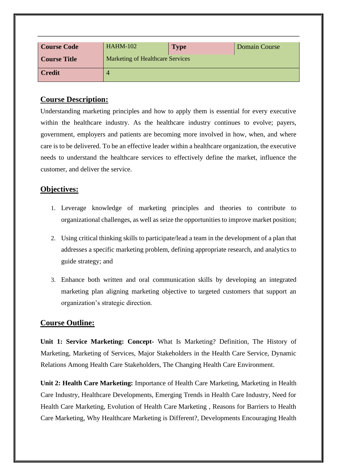| <b>Course Code</b>  | <b>HAHM-102</b>                         | <b>Type</b> | Domain Course |
|---------------------|-----------------------------------------|-------------|---------------|
| <b>Course Title</b> | <b>Marketing of Healthcare Services</b> |             |               |
| <b>Credit</b>       |                                         |             |               |

Understanding marketing principles and how to apply them is essential for every executive within the healthcare industry. As the healthcare industry continues to evolve; payers, government, employers and patients are becoming more involved in how, when, and where care is to be delivered. To be an effective leader within a healthcare organization, the executive needs to understand the healthcare services to effectively define the market, influence the customer, and deliver the service.

#### **Objectives:**

- 1. Leverage knowledge of marketing principles and theories to contribute to organizational challenges, as well as seize the opportunities to improve market position;
- 2. Using critical thinking skills to participate/lead a team in the development of a plan that addresses a specific marketing problem, defining appropriate research, and analytics to guide strategy; and
- 3. Enhance both written and oral communication skills by developing an integrated marketing plan aligning marketing objective to targeted customers that support an organization's strategic direction.

#### **Course Outline:**

**Unit 1: Service Marketing: Concept-** What Is Marketing? Definition, The History of Marketing, Marketing of Services, Major Stakeholders in the Health Care Service, Dynamic Relations Among Health Care Stakeholders, The Changing Health Care Environment.

**Unit 2: Health Care Marketing:** Importance of Health Care Marketing, Marketing in Health Care Industry, Healthcare Developments, Emerging Trends in Health Care Industry, Need for Health Care Marketing, Evolution of Health Care Marketing , Reasons for Barriers to Health Care Marketing, Why Healthcare Marketing is Different?, Developments Encouraging Health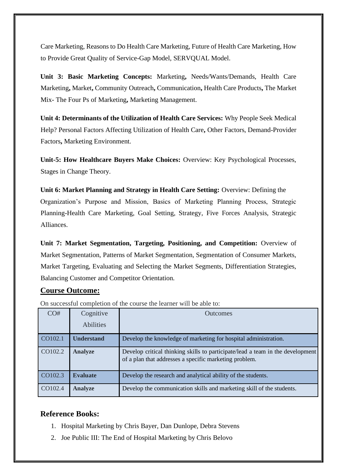Care Marketing, Reasons to Do Health Care Marketing, Future of Health Care Marketing, How to Provide Great Quality of Service-Gap Model, SERVQUAL Model.

**Unit 3: Basic Marketing Concepts:** Marketing**,** Needs/Wants/Demands, Health Care Marketing**,** Market**,** Community Outreach**,** Communication**,** Health Care Products**,** The Market Mix- The Four Ps of Marketing**,** Marketing Management.

**Unit 4: Determinants of the Utilization of Health Care Services:** Why People Seek Medical Help? Personal Factors Affecting Utilization of Health Care**,** Other Factors, Demand-Provider Factors**,** Marketing Environment.

**Unit-5: How Healthcare Buyers Make Choices:** Overview: Key Psychological Processes, Stages in Change Theory.

**Unit 6: Market Planning and Strategy in Health Care Setting:** Overview: Defining the Organization's Purpose and Mission, Basics of Marketing Planning Process, Strategic Planning-Health Care Marketing, Goal Setting, Strategy, Five Forces Analysis, Strategic Alliances.

**Unit 7: Market Segmentation, Targeting, Positioning, and Competition:** Overview of Market Segmentation, Patterns of Market Segmentation, Segmentation of Consumer Markets, Market Targeting, Evaluating and Selecting the Market Segments, Differentiation Strategies, Balancing Customer and Competitor Orientation.

# **Course Outcome:**

| CO#     | Cognitive         | <b>Outcomes</b>                                                                                                                          |
|---------|-------------------|------------------------------------------------------------------------------------------------------------------------------------------|
|         | <b>Abilities</b>  |                                                                                                                                          |
| CO102.1 | <b>Understand</b> | Develop the knowledge of marketing for hospital administration.                                                                          |
| CO102.2 | <b>Analyze</b>    | Develop critical thinking skills to participate/lead a team in the development<br>of a plan that addresses a specific marketing problem. |
| CO102.3 | <b>Evaluate</b>   | Develop the research and analytical ability of the students.                                                                             |
| CO102.4 | <b>Analyze</b>    | Develop the communication skills and marketing skill of the students.                                                                    |

On successful completion of the course the learner will be able to:

- 1. Hospital Marketing by Chris Bayer, Dan Dunlope, Debra Stevens
- 2. Joe Public III: The End of Hospital Marketing by Chris Belovo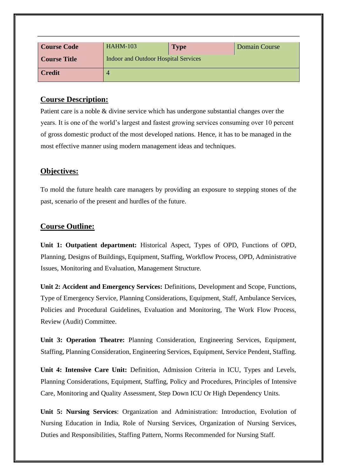| <b>Course Code</b>  | <b>HAHM-103</b>                      | <b>Type</b> | Domain Course |
|---------------------|--------------------------------------|-------------|---------------|
| <b>Course Title</b> | Indoor and Outdoor Hospital Services |             |               |
| <b>Credit</b>       |                                      |             |               |

Patient care is a noble & divine service which has undergone substantial changes over the years. It is one of the world's largest and fastest growing services consuming over 10 percent of gross domestic product of the most developed nations. Hence, it has to be managed in the most effective manner using modern management ideas and techniques.

#### **Objectives:**

To mold the future health care managers by providing an exposure to stepping stones of the past, scenario of the present and hurdles of the future.

#### **Course Outline:**

**Unit 1: Outpatient department:** Historical Aspect, Types of OPD, Functions of OPD, Planning, Designs of Buildings, Equipment, Staffing, Workflow Process, OPD, Administrative Issues, Monitoring and Evaluation, Management Structure.

**Unit 2: Accident and Emergency Services:** Definitions, Development and Scope, Functions, Type of Emergency Service, Planning Considerations, Equipment, Staff, Ambulance Services, Policies and Procedural Guidelines, Evaluation and Monitoring, The Work Flow Process, Review (Audit) Committee.

**Unit 3: Operation Theatre:** Planning Consideration, Engineering Services, Equipment, Staffing, Planning Consideration, Engineering Services, Equipment, Service Pendent, Staffing.

**Unit 4: Intensive Care Unit:** Definition, Admission Criteria in ICU, Types and Levels, Planning Considerations, Equipment, Staffing, Policy and Procedures, Principles of Intensive Care, Monitoring and Quality Assessment, Step Down ICU Or High Dependency Units.

**Unit 5: Nursing Services**: Organization and Administration: Introduction, Evolution of Nursing Education in India, Role of Nursing Services, Organization of Nursing Services, Duties and Responsibilities, Staffing Pattern, Norms Recommended for Nursing Staff.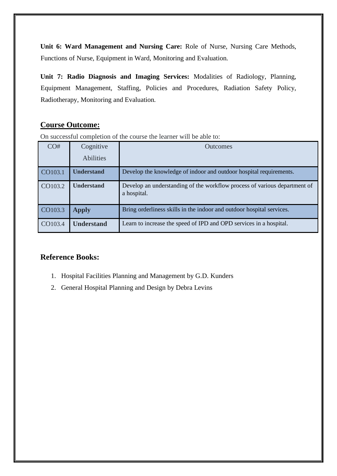**Unit 6: Ward Management and Nursing Care:** Role of Nurse, Nursing Care Methods, Functions of Nurse, Equipment in Ward, Monitoring and Evaluation.

**Unit 7: Radio Diagnosis and Imaging Services:** Modalities of Radiology, Planning, Equipment Management, Staffing, Policies and Procedures, Radiation Safety Policy, Radiotherapy, Monitoring and Evaluation.

# **Course Outcome:**

On successful completion of the course the learner will be able to:

| CO#     | Cognitive         | <b>Outcomes</b>                                                                          |
|---------|-------------------|------------------------------------------------------------------------------------------|
|         | <b>Abilities</b>  |                                                                                          |
| CO103.1 | <b>Understand</b> | Develop the knowledge of indoor and outdoor hospital requirements.                       |
| CO103.2 | <b>Understand</b> | Develop an understanding of the workflow process of various department of<br>a hospital. |
| CO103.3 | <b>Apply</b>      | Bring orderliness skills in the indoor and outdoor hospital services.                    |
| CO103.4 | <b>Understand</b> | Learn to increase the speed of IPD and OPD services in a hospital.                       |

- 1. Hospital Facilities Planning and Management by G.D. Kunders
- 2. General Hospital Planning and Design by Debra Levins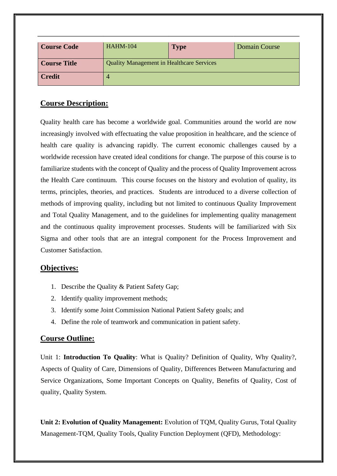| <b>Course Code</b>  | <b>HAHM-104</b>                                  | <b>Type</b> | <b>Domain Course</b> |
|---------------------|--------------------------------------------------|-------------|----------------------|
| <b>Course Title</b> | <b>Quality Management in Healthcare Services</b> |             |                      |
| <b>Credit</b>       |                                                  |             |                      |

Quality health care has become a worldwide goal. Communities around the world are now increasingly involved with effectuating the value proposition in healthcare, and the science of health care quality is advancing rapidly. The current economic challenges caused by a worldwide recession have created ideal conditions for change. The purpose of this course is to familiarize students with the concept of Quality and the process of Quality Improvement across the Health Care continuum. This course focuses on the history and evolution of quality, its terms, principles, theories, and practices. Students are introduced to a diverse collection of methods of improving quality, including but not limited to continuous Quality Improvement and Total Quality Management, and to the guidelines for implementing quality management and the continuous quality improvement processes. Students will be familiarized with Six Sigma and other tools that are an integral component for the Process Improvement and Customer Satisfaction.

#### **Objectives:**

- 1. Describe the Quality & Patient Safety Gap;
- 2. Identify quality improvement methods;
- 3. Identify some Joint Commission National Patient Safety goals; and
- 4. Define the role of teamwork and communication in patient safety.

#### **Course Outline:**

Unit 1: **Introduction To Quality**: What is Quality? Definition of Quality, Why Quality?, Aspects of Quality of Care, Dimensions of Quality, Differences Between Manufacturing and Service Organizations, Some Important Concepts on Quality, Benefits of Quality, Cost of quality, Quality System.

**Unit 2: Evolution of Quality Management:** Evolution of TQM, Quality Gurus, Total Quality Management-TQM, Quality Tools, Quality Function Deployment (QFD), Methodology: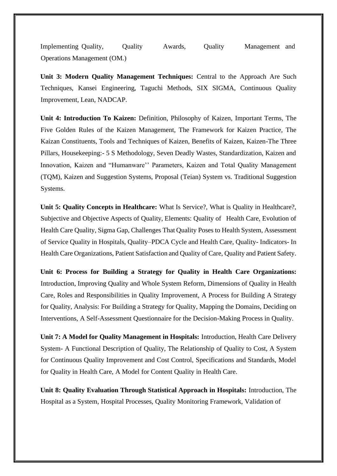Implementing Quality, Quality Awards, Quality Management and Operations Management (OM.)

**Unit 3: Modern Quality Management Techniques:** Central to the Approach Are Such Techniques, Kansei Engineering, Taguchi Methods, SIX SIGMA, Continuous Quality Improvement, Lean, NADCAP.

**Unit 4: Introduction To Kaizen:** Definition, Philosophy of Kaizen, Important Terms, The Five Golden Rules of the Kaizen Management, The Framework for Kaizen Practice, The Kaizan Constituents, Tools and Techniques of Kaizen, Benefits of Kaizen, Kaizen-The Three Pillars, Housekeeping:- 5 S Methodology, Seven Deadly Wastes, Standardization, Kaizen and Innovation, Kaizen and "Humanware'' Parameters, Kaizen and Total Quality Management (TQM), Kaizen and Suggestion Systems, Proposal (Teian) System vs. Traditional Suggestion Systems.

**Unit 5: Quality Concepts in Healthcare:** What Is Service?, What is Quality in Healthcare?, Subjective and Objective Aspects of Quality, Elements: Quality of Health Care, Evolution of Health Care Quality, Sigma Gap, Challenges That Quality Poses to Health System, Assessment of Service Quality in Hospitals, Quality–PDCA Cycle and Health Care, Quality- Indicators- In Health Care Organizations, Patient Satisfaction and Quality of Care, Quality and Patient Safety.

**Unit 6: Process for Building a Strategy for Quality in Health Care Organizations:** Introduction, Improving Quality and Whole System Reform, Dimensions of Quality in Health Care, Roles and Responsibilities in Quality Improvement, A Process for Building A Strategy for Quality, Analysis: For Building a Strategy for Quality, Mapping the Domains, Deciding on Interventions, A Self-Assessment Questionnaire for the Decision-Making Process in Quality.

**Unit 7: A Model for Quality Management in Hospitals:** Introduction, Health Care Delivery System- A Functional Description of Quality, The Relationship of Quality to Cost, A System for Continuous Quality Improvement and Cost Control, Specifications and Standards, Model for Quality in Health Care, A Model for Content Quality in Health Care.

**Unit 8: Quality Evaluation Through Statistical Approach in Hospitals:** Introduction, The Hospital as a System, Hospital Processes, Quality Monitoring Framework, Validation of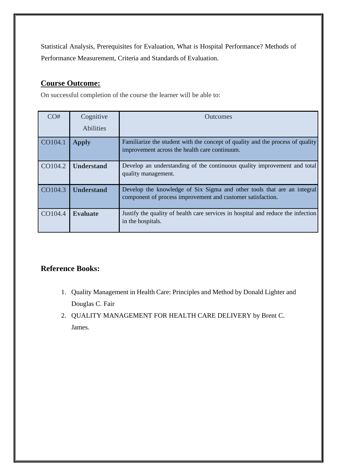Statistical Analysis, Prerequisites for Evaluation, What is Hospital Performance? Methods of Performance Measurement, Criteria and Standards of Evaluation.

# **Course Outcome:**

On successful completion of the course the learner will be able to:

| CO#     | Cognitive         | <b>Outcomes</b>                                                                                                                        |
|---------|-------------------|----------------------------------------------------------------------------------------------------------------------------------------|
|         | <b>Abilities</b>  |                                                                                                                                        |
| CO104.1 | <b>Apply</b>      | Familiarize the student with the concept of quality and the process of quality<br>improvement across the health care continuum.        |
| CO104.2 | <b>Understand</b> | Develop an understanding of the continuous quality improvement and total<br>quality management.                                        |
| CO104.3 | <b>Understand</b> | Develop the knowledge of Six Sigma and other tools that are an integral<br>component of process improvement and customer satisfaction. |
| CO104.4 | <b>Evaluate</b>   | Justify the quality of health care services in hospital and reduce the infection<br>in the hospitals.                                  |

- 1. Quality Management in Health Care: Principles and Method by Donald Lighter and Douglas C. Fair
- 2. QUALITY MANAGEMENT FOR HEALTH CARE DELIVERY by Brent C. James.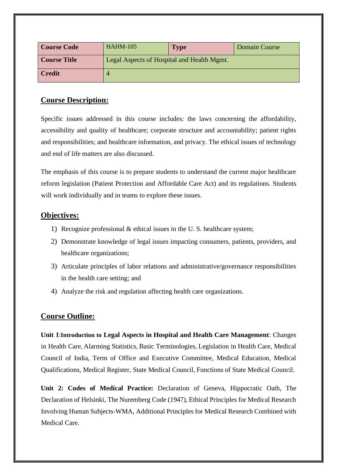| Course Code   | <b>HAHM-105</b>                            | <b>Type</b> | <b>Domain Course</b> |
|---------------|--------------------------------------------|-------------|----------------------|
| Course Title  | Legal Aspects of Hospital and Health Mgmt. |             |                      |
| <b>Credit</b> |                                            |             |                      |

Specific issues addressed in this course includes: the laws concerning the affordability, accessibility and quality of healthcare; corporate structure and accountability; patient rights and responsibilities; and healthcare information, and privacy. The ethical issues of technology and end of life matters are also discussed.

The emphasis of this course is to prepare students to understand the current major healthcare reform legislation (Patient Protection and Affordable Care Act) and its regulations. Students will work individually and in teams to explore these issues.

# **Objectives:**

- 1) Recognize professional & ethical issues in the U. S. healthcare system;
- 2) Demonstrate knowledge of legal issues impacting consumers, patients, providers, and healthcare organizations;
- 3) Articulate principles of labor relations and administrative/governance responsibilities in the health care setting; and
- 4) Analyze the risk and regulation affecting health care organizations.

# **Course Outline:**

**Unit 1**:**Introduction to Legal Aspects in Hospital and Health Care Management**: Changes in Health Care, Alarming Statistics, Basic Terminologies, Legislation in Health Care, Medical Council of India, Term of Office and Executive Committee, Medical Education, Medical Qualifications, Medical Register, State Medical Council, Functions of State Medical Council.

**Unit 2: Codes of Medical Practice:** Declaration of Geneva, Hippocratic Oath, The Declaration of Helsinki, The Nuremberg Code (1947), Ethical Principles for Medical Research Involving Human Subjects-WMA, Additional Principles for Medical Research Combined with Medical Care.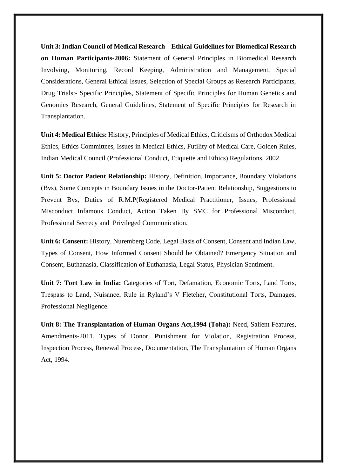**Unit 3: Indian Council of Medical Research-- Ethical Guidelines for Biomedical Research on Human Participants-2006:** Statement of General Principles in Biomedical Research Involving, Monitoring, Record Keeping, Administration and Management, Special Considerations, General Ethical Issues, Selection of Special Groups as Research Participants, Drug Trials:- Specific Principles, Statement of Specific Principles for Human Genetics and Genomics Research, General Guidelines, Statement of Specific Principles for Research in Transplantation.

**Unit 4: Medical Ethics:** History, Principles of Medical Ethics, Criticisms of Orthodox Medical Ethics, Ethics Committees, Issues in Medical Ethics, Futility of Medical Care, Golden Rules, Indian Medical Council (Professional Conduct, Etiquette and Ethics) Regulations, 2002.

**Unit 5: Doctor Patient Relationship:** History, Definition, Importance, Boundary Violations (Bvs), Some Concepts in Boundary Issues in the Doctor-Patient Relationship, Suggestions to Prevent Bvs, Duties of R.M.P(Registered Medical Practitioner, Issues, Professional Misconduct Infamous Conduct, Action Taken By SMC for Professional Misconduct, Professional Secrecy and Privileged Communication.

**Unit 6: Consent:** History, Nuremberg Code, Legal Basis of Consent, Consent and Indian Law, Types of Consent, How Informed Consent Should be Obtained? Emergency Situation and Consent, Euthanasia, Classification of Euthanasia, Legal Status, Physician Sentiment.

**Unit 7: Tort Law in India:** Categories of Tort, Defamation, Economic Torts, Land Torts, Trespass to Land, Nuisance, Rule in Ryland's V Fletcher, Constitutional Torts, Damages, Professional Negligence.

**Unit 8: The Transplantation of Human Organs Act,1994 (Toha):** Need, Salient Features, Amendments-2011, Types of Donor, **P**unishment for Violation, Registration Process, Inspection Process, Renewal Process, Documentation, The Transplantation of Human Organs Act, 1994.